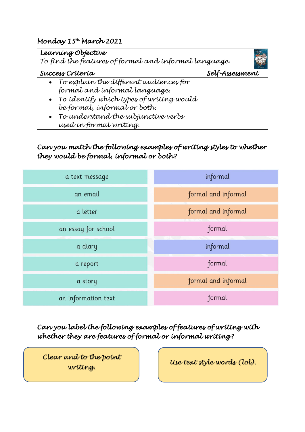## *Monday 15 th March 2021*

| Learning Objective<br>To find the features of formal and informal language. |                 |
|-----------------------------------------------------------------------------|-----------------|
| Success Crítería                                                            | Self-Assessment |
| • To explain the different audiences for                                    |                 |
| formal and informal language.                                               |                 |
| • To identify which types of writing would                                  |                 |
| be formal, informal or both.                                                |                 |
| • To understand the subjunctive verbs                                       |                 |
| used in formal writing.                                                     |                 |

## *Can you match the following examples of writing styles to whether they would be formal, informal or both?*



*Can you label the following examples of features of writing with whether they are features of formal or informal writing?* 

*Clear and to the point writing.* 

*Use text style words (lol).*